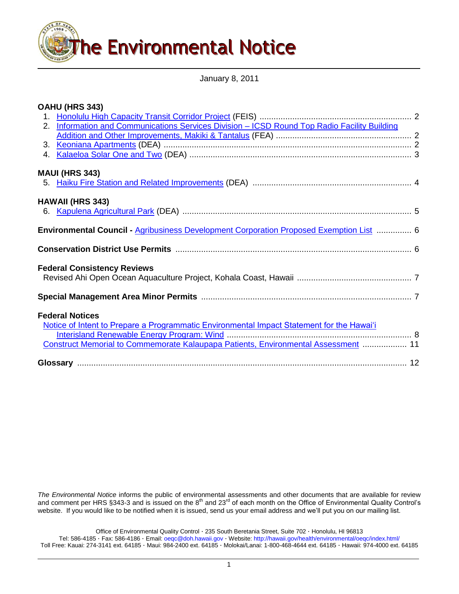

January 8, 2011

# **OAHU (HRS 343)**

| 2. Information and Communications Services Division - ICSD Round Top Radio Facility Building |  |
|----------------------------------------------------------------------------------------------|--|
|                                                                                              |  |
|                                                                                              |  |
|                                                                                              |  |
| <b>MAUI (HRS 343)</b>                                                                        |  |
|                                                                                              |  |
| <b>HAWAII (HRS 343)</b>                                                                      |  |
|                                                                                              |  |
| Environmental Council - Agribusiness Development Corporation Proposed Exemption List  6      |  |
|                                                                                              |  |
| <b>Federal Consistency Reviews</b>                                                           |  |
|                                                                                              |  |
|                                                                                              |  |
| <b>Federal Notices</b>                                                                       |  |
| Notice of Intent to Prepare a Programmatic Environmental Impact Statement for the Hawai'i    |  |
|                                                                                              |  |
| Construct Memorial to Commemorate Kalaupapa Patients, Environmental Assessment  11           |  |
|                                                                                              |  |

*The Environmental Notice* informs the public of environmental assessments and other documents that are available for review and comment per HRS §343-3 and is issued on the 8<sup>th</sup> and 23<sup>rd</sup> of each month on the Office of Environmental Quality Control's website. If you would like to be notified when it is issued, send us your email address and we'll put you on our mailing list.

Office of Environmental Quality Control · 235 South Beretania Street, Suite 702 · Honolulu, HI 96813 Tel: 586-4185 · Fax: 586-4186 · Email: [oeqc@doh.hawaii.gov](mailto:oeqc@doh.hawaii.gov) · Website[: http://hawaii.gov/health/environmental/oeqc/index.html/](http://hawaii.gov/health/environmental/oeqc/index.html/) Toll Free: Kauai: 274-3141 ext. 64185 · Maui: 984-2400 ext. 64185 · Molokai/Lanai: 1-800-468-4644 ext. 64185 · Hawaii: 974-4000 ext. 64185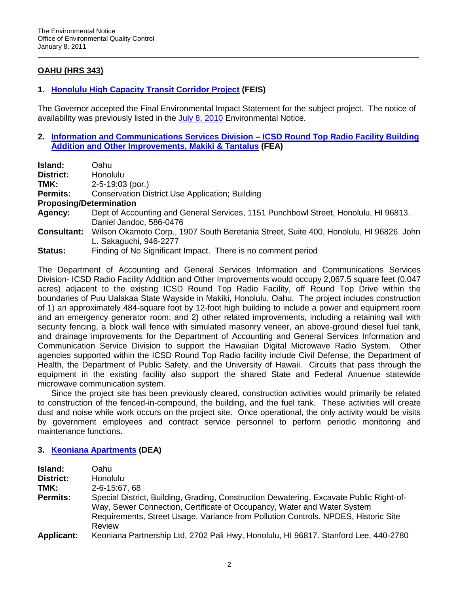# **OAHU (HRS 343)**

# **1. [Honolulu High Capacity Transit Corridor Project](http://oeqc.doh.hawaii.gov/Shared%20Documents/Forms/AllItems.aspx?RootFolder=%2fShared%20Documents%2fEA_and_EIS_Online_Library%2fOahu%2f2010s%2f2010-07-08-OA-FEIS-HONOLULU-HIGH-CAPACITY-TRANSIT-CORRIDOR&View=%7bC0C5C897-3066-4821-864E-36FB3D77F5D5%7d) (FEIS)**

The Governor accepted the Final Environmental Impact Statement for the subject project. The notice of availability was previously listed in the [July 8, 2010](http://oeqc.doh.hawaii.gov/Shared%20Documents/Environmental_Notice/Archives/2010s/2010-07-08.pdf) Environmental Notice.

**2. [Information and Communications Services Division –](http://oeqc.doh.hawaii.gov/Shared%20Documents/EA_and_EIS_Online_Library/Oahu/2010s/2011-01-08-OA-FEA-Round-Top-Radio.pdf) ICSD Round Top Radio Facility Building [Addition and Other Improvements, Makiki & Tantalus](http://oeqc.doh.hawaii.gov/Shared%20Documents/EA_and_EIS_Online_Library/Oahu/2010s/2011-01-08-OA-FEA-Round-Top-Radio.pdf) (FEA)**

| Island:            | Oahu                                                                                   |  |  |
|--------------------|----------------------------------------------------------------------------------------|--|--|
| District:          | Honolulu                                                                               |  |  |
| TMK:               | $2 - 5 - 19:03$ (por.)                                                                 |  |  |
| <b>Permits:</b>    | <b>Conservation District Use Application; Building</b>                                 |  |  |
|                    | <b>Proposing/Determination</b>                                                         |  |  |
| Agency:            | Dept of Accounting and General Services, 1151 Punchbowl Street, Honolulu, HI 96813.    |  |  |
|                    | Daniel Jandoc, 586-0476                                                                |  |  |
| <b>Consultant:</b> | Wilson Okamoto Corp., 1907 South Beretania Street, Suite 400, Honolulu, HI 96826. John |  |  |
|                    | L. Sakaguchi, 946-2277                                                                 |  |  |
| <b>Status:</b>     | Finding of No Significant Impact. There is no comment period                           |  |  |

The Department of Accounting and General Services Information and Communications Services Division- ICSD Radio Facility Addition and Other Improvements would occupy 2,067.5 square feet (0.047 acres) adjacent to the existing ICSD Round Top Radio Facility, off Round Top Drive within the boundaries of Puu Ualakaa State Wayside in Makiki, Honolulu, Oahu. The project includes construction of 1) an approximately 484-square foot by 12-foot high building to include a power and equipment room and an emergency generator room; and 2) other related improvements, including a retaining wall with security fencing, a block wall fence with simulated masonry veneer, an above-ground diesel fuel tank, and drainage improvements for the Department of Accounting and General Services Information and Communication Service Division to support the Hawaiian Digital Microwave Radio System. Other agencies supported within the ICSD Round Top Radio facility include Civil Defense, the Department of Health, the Department of Public Safety, and the University of Hawaii. Circuits that pass through the equipment in the existing facility also support the shared State and Federal Anuenue statewide microwave communication system.

Since the project site has been previously cleared, construction activities would primarily be related to construction of the fenced-in-compound, the building, and the fuel tank. These activities will create dust and noise while work occurs on the project site. Once operational, the only activity would be visits by government employees and contract service personnel to perform periodic monitoring and maintenance functions.

## **3. [Keoniana Apartments](http://oeqc.doh.hawaii.gov/Shared%20Documents/EA_and_EIS_Online_Library/Oahu/2010s/2011-01-08-OA-DEA-Keoniana-Apt.pdf) (DEA)**

| Island:<br><b>District:</b><br>TMK:<br><b>Permits:</b> | Oahu.<br><b>Honolulu</b><br>2-6-15:67, 68<br>Special District, Building, Grading, Construction Dewatering, Excavate Public Right-of-<br>Way, Sewer Connection, Certificate of Occupancy, Water and Water System<br>Requirements, Street Usage, Variance from Pollution Controls, NPDES, Historic Site |
|--------------------------------------------------------|-------------------------------------------------------------------------------------------------------------------------------------------------------------------------------------------------------------------------------------------------------------------------------------------------------|
| <b>Applicant:</b>                                      | Review<br>Keoniana Partnership Ltd, 2702 Pali Hwy, Honolulu, HI 96817. Stanford Lee, 440-2780                                                                                                                                                                                                         |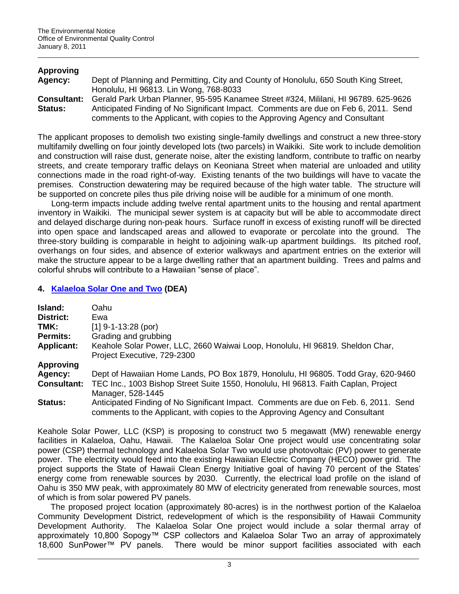## **Approving**

| Agency:            | Dept of Planning and Permitting, City and County of Honolulu, 650 South King Street, |  |  |  |
|--------------------|--------------------------------------------------------------------------------------|--|--|--|
|                    | Honolulu, HI 96813. Lin Wong, 768-8033                                               |  |  |  |
| <b>Consultant:</b> | Gerald Park Urban Planner, 95-595 Kanamee Street #324, Mililani, HI 96789. 625-9626  |  |  |  |
| <b>Status:</b>     | Anticipated Finding of No Significant Impact. Comments are due on Feb 6, 2011. Send  |  |  |  |
|                    | comments to the Applicant, with copies to the Approving Agency and Consultant        |  |  |  |

The applicant proposes to demolish two existing single-family dwellings and construct a new three-story multifamily dwelling on four jointly developed lots (two parcels) in Waikiki. Site work to include demolition and construction will raise dust, generate noise, alter the existing landform, contribute to traffic on nearby streets, and create temporary traffic delays on Keoniana Street when material are unloaded and utility connections made in the road right-of-way. Existing tenants of the two buildings will have to vacate the premises. Construction dewatering may be required because of the high water table. The structure will be supported on concrete piles thus pile driving noise will be audible for a minimum of one month.

Long-term impacts include adding twelve rental apartment units to the housing and rental apartment inventory in Waikiki. The municipal sewer system is at capacity but will be able to accommodate direct and delayed discharge during non-peak hours. Surface runoff in excess of existing runoff will be directed into open space and landscaped areas and allowed to evaporate or percolate into the ground. The three-story building is comparable in height to adjoining walk-up apartment buildings. Its pitched roof, overhangs on four sides, and absence of exterior walkways and apartment entries on the exterior will make the structure appear to be a large dwelling rather that an apartment building. Trees and palms and colorful shrubs will contribute to a Hawaiian "sense of place".

## **4. [Kalaeloa Solar One and Two](http://oeqc.doh.hawaii.gov/Shared%20Documents/EA_and_EIS_Online_Library/Oahu/2010s/2011-01-08-OA-DEA-Kalaeloa-Solar.pdf) (DEA)**

| Island:                                                                                                                       | Oahu                                                                                                                                                                  |  |  |
|-------------------------------------------------------------------------------------------------------------------------------|-----------------------------------------------------------------------------------------------------------------------------------------------------------------------|--|--|
| District:                                                                                                                     | Ewa                                                                                                                                                                   |  |  |
| TMK:                                                                                                                          | $[1]$ 9-1-13:28 (por)                                                                                                                                                 |  |  |
| <b>Permits:</b>                                                                                                               | Grading and grubbing                                                                                                                                                  |  |  |
| <b>Applicant:</b>                                                                                                             | Keahole Solar Power, LLC, 2660 Waiwai Loop, Honolulu, HI 96819. Sheldon Char,<br>Project Executive, 729-2300                                                          |  |  |
| <b>Approving</b>                                                                                                              |                                                                                                                                                                       |  |  |
| Agency:                                                                                                                       | Dept of Hawaiian Home Lands, PO Box 1879, Honolulu, HI 96805. Todd Gray, 620-9460                                                                                     |  |  |
| TEC Inc., 1003 Bishop Street Suite 1550, Honolulu, HI 96813. Faith Caplan, Project<br><b>Consultant:</b><br>Manager, 528-1445 |                                                                                                                                                                       |  |  |
| Status:                                                                                                                       | Anticipated Finding of No Significant Impact. Comments are due on Feb. 6, 2011. Send<br>comments to the Applicant, with copies to the Approving Agency and Consultant |  |  |

Keahole Solar Power, LLC (KSP) is proposing to construct two 5 megawatt (MW) renewable energy facilities in Kalaeloa, Oahu, Hawaii. The Kalaeloa Solar One project would use concentrating solar power (CSP) thermal technology and Kalaeloa Solar Two would use photovoltaic (PV) power to generate power. The electricity would feed into the existing Hawaiian Electric Company (HECO) power grid. The project supports the State of Hawaii Clean Energy Initiative goal of having 70 percent of the States' energy come from renewable sources by 2030. Currently, the electrical load profile on the island of Oahu is 350 MW peak, with approximately 80 MW of electricity generated from renewable sources, most of which is from solar powered PV panels.

The proposed project location (approximately 80-acres) is in the northwest portion of the Kalaeloa Community Development District, redevelopment of which is the responsibility of Hawaii Community Development Authority. The Kalaeloa Solar One project would include a solar thermal array of approximately 10,800 Sopogy™ CSP collectors and Kalaeloa Solar Two an array of approximately 18,600 SunPower™ PV panels. There would be minor support facilities associated with each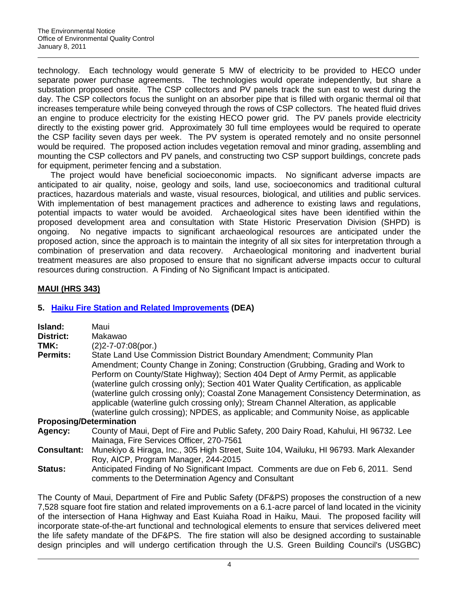technology. Each technology would generate 5 MW of electricity to be provided to HECO under separate power purchase agreements. The technologies would operate independently, but share a substation proposed onsite. The CSP collectors and PV panels track the sun east to west during the day. The CSP collectors focus the sunlight on an absorber pipe that is filled with organic thermal oil that increases temperature while being conveyed through the rows of CSP collectors. The heated fluid drives an engine to produce electricity for the existing HECO power grid. The PV panels provide electricity directly to the existing power grid. Approximately 30 full time employees would be required to operate the CSP facility seven days per week. The PV system is operated remotely and no onsite personnel would be required. The proposed action includes vegetation removal and minor grading, assembling and mounting the CSP collectors and PV panels, and constructing two CSP support buildings, concrete pads for equipment, perimeter fencing and a substation.

The project would have beneficial socioeconomic impacts. No significant adverse impacts are anticipated to air quality, noise, geology and soils, land use, socioeconomics and traditional cultural practices, hazardous materials and waste, visual resources, biological, and utilities and public services. With implementation of best management practices and adherence to existing laws and regulations, potential impacts to water would be avoided. Archaeological sites have been identified within the proposed development area and consultation with State Historic Preservation Division (SHPD) is ongoing. No negative impacts to significant archaeological resources are anticipated under the proposed action, since the approach is to maintain the integrity of all six sites for interpretation through a combination of preservation and data recovery. Archaeological monitoring and inadvertent burial treatment measures are also proposed to ensure that no significant adverse impacts occur to cultural resources during construction. A Finding of No Significant Impact is anticipated.

# **MAUI (HRS 343)**

# **5. [Haiku Fire Station and Related Improvements](http://oeqc.doh.hawaii.gov/Shared%20Documents/EA_and_EIS_Online_Library/Maui/2010s/2011-01-08-MA-DEA-Haiku-Fire-Station.pdf) (DEA)**

| Island:<br><b>District:</b><br>TMK: | Maui<br>Makawao<br>$(2)$ 2-7-07:08(por.)                                                                                                                                                                                                                                                                                                                                                                                                                                                                                                                                                                          |
|-------------------------------------|-------------------------------------------------------------------------------------------------------------------------------------------------------------------------------------------------------------------------------------------------------------------------------------------------------------------------------------------------------------------------------------------------------------------------------------------------------------------------------------------------------------------------------------------------------------------------------------------------------------------|
| <b>Permits:</b>                     | State Land Use Commission District Boundary Amendment; Community Plan<br>Amendment; County Change in Zoning; Construction (Grubbing, Grading and Work to<br>Perform on County/State Highway); Section 404 Dept of Army Permit, as applicable<br>(waterline gulch crossing only); Section 401 Water Quality Certification, as applicable<br>(waterline gulch crossing only); Coastal Zone Management Consistency Determination, as<br>applicable (waterline gulch crossing only); Stream Channel Alteration, as applicable<br>(waterline gulch crossing); NPDES, as applicable; and Community Noise, as applicable |
| <b>Proposing/Determination</b>      |                                                                                                                                                                                                                                                                                                                                                                                                                                                                                                                                                                                                                   |
| Agency:                             | County of Maui, Dept of Fire and Public Safety, 200 Dairy Road, Kahului, HI 96732. Lee<br>Mainaga, Fire Services Officer, 270-7561                                                                                                                                                                                                                                                                                                                                                                                                                                                                                |
| <b>Consultant:</b>                  | Munekiyo & Hiraga, Inc., 305 High Street, Suite 104, Wailuku, HI 96793. Mark Alexander<br>Roy, AICP, Program Manager, 244-2015                                                                                                                                                                                                                                                                                                                                                                                                                                                                                    |
| <b>Status:</b>                      | Anticipated Finding of No Significant Impact. Comments are due on Feb 6, 2011. Send<br>comments to the Determination Agency and Consultant                                                                                                                                                                                                                                                                                                                                                                                                                                                                        |

The County of Maui, Department of Fire and Public Safety (DF&PS) proposes the construction of a new 7,528 square foot fire station and related improvements on a 6.1-acre parcel of land located in the vicinity of the intersection of Hana Highway and East Kuiaha Road in Haiku, Maui. The proposed facility will incorporate state-of-the-art functional and technological elements to ensure that services delivered meet the life safety mandate of the DF&PS. The fire station will also be designed according to sustainable design principles and will undergo certification through the U.S. Green Building Council's (USGBC)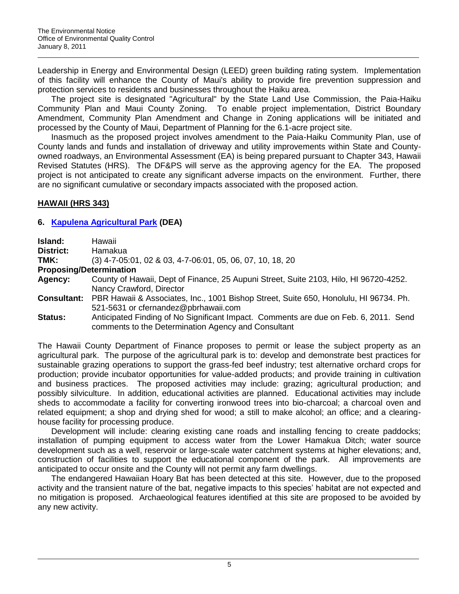Leadership in Energy and Environmental Design (LEED) green building rating system. Implementation of this facility will enhance the County of Maui's ability to provide fire prevention suppression and protection services to residents and businesses throughout the Haiku area.

The project site is designated "Agricultural" by the State Land Use Commission, the Paia-Haiku Community Plan and Maui County Zoning. To enable project implementation, District Boundary Amendment, Community Plan Amendment and Change in Zoning applications will be initiated and processed by the County of Maui, Department of Planning for the 6.1-acre project site.

Inasmuch as the proposed project involves amendment to the Paia-Haiku Community Plan, use of County lands and funds and installation of driveway and utility improvements within State and Countyowned roadways, an Environmental Assessment (EA) is being prepared pursuant to Chapter 343, Hawaii Revised Statutes (HRS). The DF&PS will serve as the approving agency for the EA. The proposed project is not anticipated to create any significant adverse impacts on the environment. Further, there are no significant cumulative or secondary impacts associated with the proposed action.

# **HAWAII (HRS 343)**

## **6. [Kapulena Agricultural Park](http://oeqc.doh.hawaii.gov/Shared%20Documents/EA_and_EIS_Online_Library/Hawaii/2010s/2011-01-08-HA-DEA-Kapulena-Ag-Park.pdf) (DEA)**

| Island:            | Hawaii                                                                                |
|--------------------|---------------------------------------------------------------------------------------|
| District:          | Hamakua                                                                               |
| TMK:               | (3) 4-7-05:01, 02 & 03, 4-7-06:01, 05, 06, 07, 10, 18, 20                             |
|                    | <b>Proposing/Determination</b>                                                        |
| Agency:            | County of Hawaii, Dept of Finance, 25 Aupuni Street, Suite 2103, Hilo, HI 96720-4252. |
|                    | Nancy Crawford, Director                                                              |
| <b>Consultant:</b> | PBR Hawaii & Associates, Inc., 1001 Bishop Street, Suite 650, Honolulu, HI 96734. Ph. |
|                    | 521-5631 or cfernandez@pbrhawaii.com                                                  |
| <b>Status:</b>     | Anticipated Finding of No Significant Impact. Comments are due on Feb. 6, 2011. Send  |
|                    | comments to the Determination Agency and Consultant                                   |

The Hawaii County Department of Finance proposes to permit or lease the subject property as an agricultural park. The purpose of the agricultural park is to: develop and demonstrate best practices for sustainable grazing operations to support the grass-fed beef industry; test alternative orchard crops for production; provide incubator opportunities for value-added products; and provide training in cultivation and business practices. The proposed activities may include: grazing; agricultural production; and possibly silviculture. In addition, educational activities are planned. Educational activities may include sheds to accommodate a facility for converting ironwood trees into bio-charcoal; a charcoal oven and related equipment; a shop and drying shed for wood; a still to make alcohol; an office; and a clearinghouse facility for processing produce.

Development will include: clearing existing cane roads and installing fencing to create paddocks; installation of pumping equipment to access water from the Lower Hamakua Ditch; water source development such as a well, reservoir or large-scale water catchment systems at higher elevations; and, construction of facilities to support the educational component of the park. All improvements are anticipated to occur onsite and the County will not permit any farm dwellings.

The endangered Hawaiian Hoary Bat has been detected at this site. However, due to the proposed activity and the transient nature of the bat, negative impacts to this species' habitat are not expected and no mitigation is proposed. Archaeological features identified at this site are proposed to be avoided by any new activity.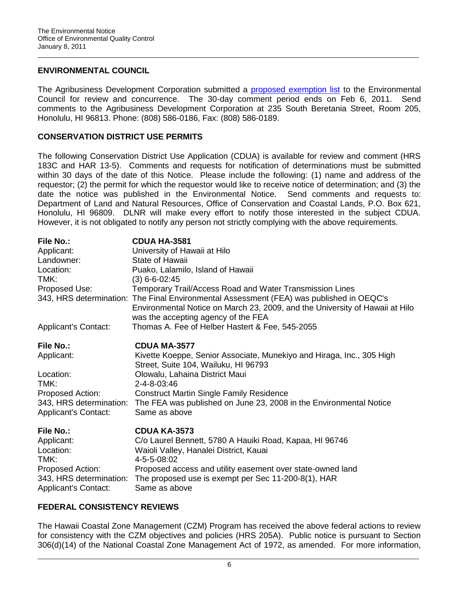## **ENVIRONMENTAL COUNCIL**

The Agribusiness Development Corporation submitted a [proposed exemption list](http://oeqc.doh.hawaii.gov/Shared%20Documents/Environmental_Council/Exemption_Lists_By_Department/State_Agencies/Dept-of-Agriculture-Agribusiness-Development-Corp-proposed-12.10.pdf) to the Environmental Council for review and concurrence. The 30-day comment period ends on Feb 6, 2011. Send comments to the Agribusiness Development Corporation at 235 South Beretania Street, Room 205, Honolulu, HI 96813. Phone: (808) 586-0186, Fax: (808) 586-0189.

## **CONSERVATION DISTRICT USE PERMITS**

The following Conservation District Use Application (CDUA) is available for review and comment (HRS 183C and HAR 13-5). Comments and requests for notification of determinations must be submitted within 30 days of the date of this Notice. Please include the following: (1) name and address of the requestor; (2) the permit for which the requestor would like to receive notice of determination; and (3) the date the notice was published in the Environmental Notice. Send comments and requests to: Department of Land and Natural Resources, Office of Conservation and Coastal Lands, P.O. Box 621, Honolulu, HI 96809. DLNR will make every effort to notify those interested in the subject CDUA. However, it is not obligated to notify any person not strictly complying with the above requirements.

| <b>File No.:</b>            | <b>CDUA HA-3581</b>                                                                                                                                                                                             |
|-----------------------------|-----------------------------------------------------------------------------------------------------------------------------------------------------------------------------------------------------------------|
| Applicant:                  | University of Hawaii at Hilo                                                                                                                                                                                    |
| Landowner:                  | State of Hawaii                                                                                                                                                                                                 |
| Location:                   | Puako, Lalamilo, Island of Hawaii                                                                                                                                                                               |
| TMK:                        | $(3)$ 6-6-02:45                                                                                                                                                                                                 |
| Proposed Use:               | Temporary Trail/Access Road and Water Transmission Lines                                                                                                                                                        |
|                             | 343, HRS determination: The Final Environmental Assessment (FEA) was published in OEQC's<br>Environmental Notice on March 23, 2009, and the University of Hawaii at Hilo<br>was the accepting agency of the FEA |
| <b>Applicant's Contact:</b> | Thomas A. Fee of Helber Hastert & Fee, 545-2055                                                                                                                                                                 |
| <b>File No.:</b>            | <b>CDUA MA-3577</b>                                                                                                                                                                                             |
| Applicant:                  | Kivette Koeppe, Senior Associate, Munekiyo and Hiraga, Inc., 305 High<br>Street, Suite 104, Wailuku, HI 96793                                                                                                   |
| Location:                   | Olowalu, Lahaina District Maui                                                                                                                                                                                  |
| TMK:                        | 2-4-8-03:46                                                                                                                                                                                                     |
| Proposed Action:            | <b>Construct Martin Single Family Residence</b>                                                                                                                                                                 |
| 343, HRS determination:     | The FEA was published on June 23, 2008 in the Environmental Notice                                                                                                                                              |
| <b>Applicant's Contact:</b> | Same as above                                                                                                                                                                                                   |
| File No.:                   | <b>CDUA KA-3573</b>                                                                                                                                                                                             |
| Applicant:                  | C/o Laurel Bennett, 5780 A Hauiki Road, Kapaa, HI 96746                                                                                                                                                         |
| Location:                   | Waioli Valley, Hanalei District, Kauai                                                                                                                                                                          |
| TMK:                        | 4-5-5-08:02                                                                                                                                                                                                     |
| Proposed Action:            | Proposed access and utility easement over state-owned land                                                                                                                                                      |
| 343, HRS determination:     | The proposed use is exempt per Sec 11-200-8(1), HAR                                                                                                                                                             |
| <b>Applicant's Contact:</b> | Same as above                                                                                                                                                                                                   |

## **FEDERAL CONSISTENCY REVIEWS**

The Hawaii Coastal Zone Management (CZM) Program has received the above federal actions to review for consistency with the CZM objectives and policies (HRS 205A). Public notice is pursuant to Section 306(d)(14) of the National Coastal Zone Management Act of 1972, as amended. For more information,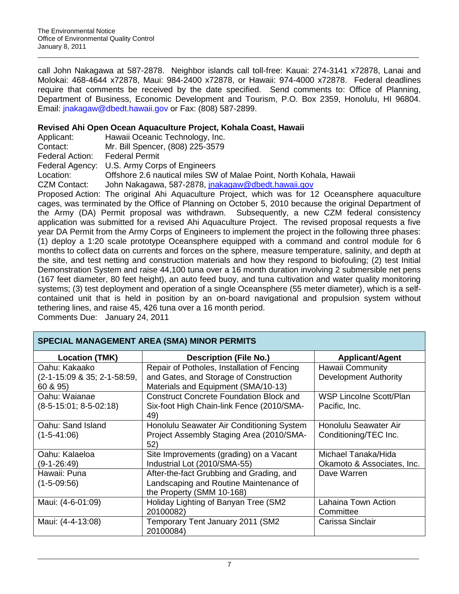call John Nakagawa at 587-2878. Neighbor islands call toll-free: Kauai: 274-3141 x72878, Lanai and Molokai: 468-4644 x72878, Maui: 984-2400 x72878, or Hawaii: 974-4000 x72878. Federal deadlines require that comments be received by the date specified. Send comments to: Office of Planning, Department of Business, Economic Development and Tourism, P.O. Box 2359, Honolulu, HI 96804. Email: [jnakagaw@dbedt.hawaii.gov](mailto:jnakagaw@dbedt.hawaii.gov) or Fax: (808) 587-2899.

# **Revised Ahi Open Ocean Aquaculture Project, Kohala Coast, Hawaii**

Applicant: Hawaii Oceanic Technology, Inc.

Contact: Mr. Bill Spencer, (808) 225-3579

**SPECIAL MANAGEMENT AREA (SMA) MINOR PERMITS**

Federal Action: Federal Permit

Federal Agency: U.S. Army Corps of Engineers

Location: Offshore 2.6 nautical miles SW of Malae Point, North Kohala, Hawaii

CZM Contact: John Nakagawa, 587-2878, *jnakagaw@dbedt.hawaii.gov* 

Proposed Action: The original Ahi Aquaculture Project, which was for 12 Oceansphere aquaculture cages, was terminated by the Office of Planning on October 5, 2010 because the original Department of the Army (DA) Permit proposal was withdrawn. Subsequently, a new CZM federal consistency application was submitted for a revised Ahi Aquaculture Project. The revised proposal requests a five year DA Permit from the Army Corps of Engineers to implement the project in the following three phases: (1) deploy a 1:20 scale prototype Oceansphere equipped with a command and control module for 6 months to collect data on currents and forces on the sphere, measure temperature, salinity, and depth at the site, and test netting and construction materials and how they respond to biofouling; (2) test Initial Demonstration System and raise 44,100 tuna over a 16 month duration involving 2 submersible net pens (167 feet diameter, 80 feet height), an auto feed buoy, and tuna cultivation and water quality monitoring systems; (3) test deployment and operation of a single Oceansphere (55 meter diameter), which is a selfcontained unit that is held in position by an on-board navigational and propulsion system without tethering lines, and raise 45, 426 tuna over a 16 month period. Comments Due: January 24, 2011

| SPECIAL MANAGEMENT ANEA (SMA) MINON FENMITS |                                                |                                |  |
|---------------------------------------------|------------------------------------------------|--------------------------------|--|
| <b>Location (TMK)</b>                       | <b>Description (File No.)</b>                  | <b>Applicant/Agent</b>         |  |
| Oahu: Kakaako                               | Repair of Potholes, Installation of Fencing    | <b>Hawaii Community</b>        |  |
| (2-1-15:09 & 35; 2-1-58:59,                 | and Gates, and Storage of Construction         | <b>Development Authority</b>   |  |
| 60 & 95)                                    | Materials and Equipment (SMA/10-13)            |                                |  |
| Oahu: Waianae                               | <b>Construct Concrete Foundation Block and</b> | <b>WSP Lincolne Scott/Plan</b> |  |
| $(8-5-15:01; 8-5-02:18)$                    | Six-foot High Chain-link Fence (2010/SMA-      | Pacific, Inc.                  |  |
|                                             | 49)                                            |                                |  |
| Oahu: Sand Island                           | Honolulu Seawater Air Conditioning System      | Honolulu Seawater Air          |  |
| $(1-5-41:06)$                               | Project Assembly Staging Area (2010/SMA-       | Conditioning/TEC Inc.          |  |
|                                             | 52)                                            |                                |  |
| Oahu: Kalaeloa                              | Site Improvements (grading) on a Vacant        | Michael Tanaka/Hida            |  |
| $(9-1-26:49)$                               | Industrial Lot (2010/SMA-55)                   | Okamoto & Associates, Inc.     |  |
| Hawaii: Puna                                | After-the-fact Grubbing and Grading, and       | Dave Warren                    |  |
| $(1 - 5 - 09:56)$                           | Landscaping and Routine Maintenance of         |                                |  |
|                                             | the Property (SMM 10-168)                      |                                |  |
| Maui: (4-6-01:09)                           | Holiday Lighting of Banyan Tree (SM2           | Lahaina Town Action            |  |
|                                             | 20100082)                                      | Committee                      |  |
| Maui: (4-4-13:08)                           | Temporary Tent January 2011 (SM2               | Carissa Sinclair               |  |
|                                             | 20100084)                                      |                                |  |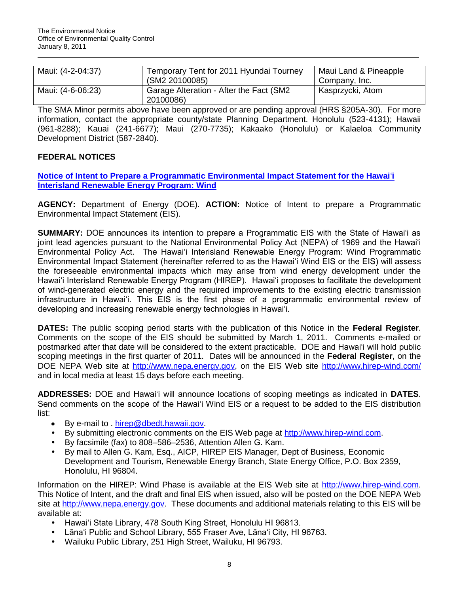| Maui: (4-2-04:37) | Temporary Tent for 2011 Hyundai Tourney                     | Maui Land & Pineapple |
|-------------------|-------------------------------------------------------------|-----------------------|
|                   | (SM2 20100085)                                              | Company, Inc.         |
| Maui: (4-6-06:23) | <b>Garage Alteration - After the Fact (SM2</b><br>20100086) | Kasprzycki, Atom      |

The SMA Minor permits above have been approved or are pending approval (HRS §205A-30). For more information, contact the appropriate county/state Planning Department. Honolulu (523-4131); Hawaii (961-8288); Kauai (241-6677); Maui (270-7735); Kakaako (Honolulu) or Kalaeloa Community Development District (587-2840).

# **FEDERAL NOTICES**

**[Notice of Intent to Prepare a Programmatic Environmental Impact Statement for the Hawai](http://www.hirep-wind.com/)**‗**i [Interisland Renewable Energy Program: Wind](http://www.hirep-wind.com/)**

**AGENCY:** Department of Energy (DOE). **ACTION:** Notice of Intent to prepare a Programmatic Environmental Impact Statement (EIS).

**SUMMARY:** DOE announces its intention to prepare a Programmatic EIS with the State of Hawai'i as joint lead agencies pursuant to the National Environmental Policy Act (NEPA) of 1969 and the Hawai'i Environmental Policy Act. The Hawai'i Interisland Renewable Energy Program: Wind Programmatic Environmental Impact Statement (hereinafter referred to as the Hawai‗i Wind EIS or the EIS) will assess the foreseeable environmental impacts which may arise from wind energy development under the Hawai'i Interisland Renewable Energy Program (HIREP). Hawai'i proposes to facilitate the development of wind-generated electric energy and the required improvements to the existing electric transmission infrastructure in Hawai'i. This EIS is the first phase of a programmatic environmental review of developing and increasing renewable energy technologies in Hawai'i.

**DATES:** The public scoping period starts with the publication of this Notice in the **Federal Register**. Comments on the scope of the EIS should be submitted by March 1, 2011. Comments e-mailed or postmarked after that date will be considered to the extent practicable. DOE and Hawai'i will hold public scoping meetings in the first quarter of 2011. Dates will be announced in the **Federal Register**, on the DOE NEPA Web site at [http://www.nepa.energy.gov,](http://www.nepa.energy.gov/) on the EIS Web site <http://www.hirep-wind.com/> and in local media at least 15 days before each meeting.

**ADDRESSES:** DOE and Hawai‗i will announce locations of scoping meetings as indicated in **DATES**. Send comments on the scope of the Hawai'i Wind EIS or a request to be added to the EIS distribution list:

- $\bullet$ By e-mail to . [hirep@dbedt.hawaii.gov.](mailto:hirep@dbedt.hawaii.gov)
- By submitting electronic comments on the EIS Web page at [http://www.hirep-wind.com.](http://www.hirep-wind.com/)
- By facsimile (fax) to 808–586–2536, Attention Allen G. Kam.
- By mail to Allen G. Kam, Esq., AICP, HIREP EIS Manager, Dept of Business, Economic Development and Tourism, Renewable Energy Branch, State Energy Office, P.O. Box 2359, Honolulu, HI 96804.

Information on the HIREP: Wind Phase is available at the EIS Web site at [http://www.hirep-wind.com.](http://www.hirep-wind.com/) This Notice of Intent, and the draft and final EIS when issued, also will be posted on the DOE NEPA Web site at [http://w](http://www.nepa.energy.gov/)ww.nepa.energy.gov. These documents and additional materials relating to this EIS will be available at:

- Hawai'i State Library, 478 South King Street, Honolulu HI 96813.
- Lāna'i Public and School Library, 555 Fraser Ave, Lāna'i City, HI 96763.
- Wailuku Public Library, 251 High Street, Wailuku, HI 96793.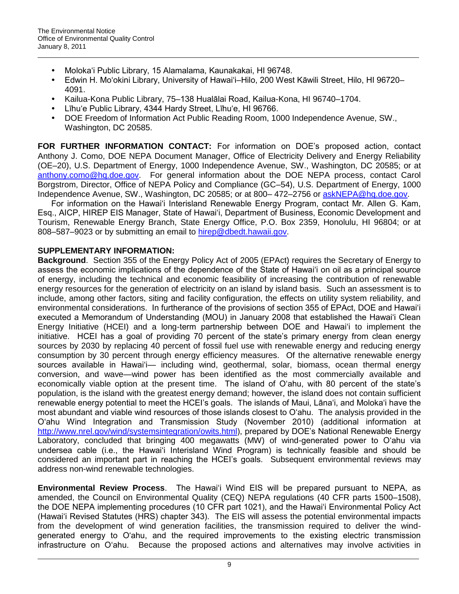- Moloka‗i Public Library, 15 Alamalama, Kaunakakai, HI 96748.
- Edwin H. Moʻokini Library, University of Hawaiʻi–Hilo, 200 West Kāwili Street, Hilo, HI 96720– 4091.
- Kailua-Kona Public Library, 75–138 Hualālai Road, Kailua-Kona, HI 96740–1704.
- Līhuʻe Public Library, 4344 Hardy Street, Līhuʻe, HI 96766.
- DOE Freedom of Information Act Public Reading Room, 1000 Independence Avenue, SW., Washington, DC 20585.

**FOR FURTHER INFORMATION CONTACT:** For information on DOE's proposed action, contact Anthony J. Como, DOE NEPA Document Manager, Office of Electricity Delivery and Energy Reliability (OE–20), U.S. Department of Energy, 1000 Independence Avenue, SW., Washington, DC 20585; or at [anthony.como@hq.doe.gov.](mailto:anthony.como@hq.doe.gov) For general information about the DOE NEPA process, contact Carol Borgstrom, Director, Office of NEPA Policy and Compliance (GC–54), U.S. Department of Energy, 1000 Independence Avenue, SW., Washington, DC 20585; or at 800– 472–2756 or [askNEPA@hq.doe.gov.](mailto:askNEPA@hq.doe.gov)

For information on the Hawai'i Interisland Renewable Energy Program, contact Mr. Allen G. Kam. Esq., AICP, HIREP EIS Manager, State of Hawai‗i, Department of Business, Economic Development and Tourism, Renewable Energy Branch, State Energy Office, P.O. Box 2359, Honolulu, HI 96804; or at 808–587–9023 or by submitting an email to [hirep@dbedt.hawaii.gov.](mailto:hirep@dbedt.hawaii.gov)

# **SUPPLEMENTARY INFORMATION:**

**Background**. Section 355 of the Energy Policy Act of 2005 (EPAct) requires the Secretary of Energy to assess the economic implications of the dependence of the State of Hawai'i on oil as a principal source of energy, including the technical and economic feasibility of increasing the contribution of renewable energy resources for the generation of electricity on an island by island basis. Such an assessment is to include, among other factors, siting and facility configuration, the effects on utility system reliability, and environmental considerations. In furtherance of the provisions of section 355 of EPAct, DOE and Hawai'i executed a Memorandum of Understanding (MOU) in January 2008 that established the Hawai'i Clean Energy Initiative (HCEI) and a long-term partnership between DOE and Hawai'i to implement the initiative. HCEI has a goal of providing 70 percent of the state's primary energy from clean energy sources by 2030 by replacing 40 percent of fossil fuel use with renewable energy and reducing energy consumption by 30 percent through energy efficiency measures. Of the alternative renewable energy sources available in Hawai'i— including wind, geothermal, solar, biomass, ocean thermal energy conversion, and wave—wind power has been identified as the most commercially available and economically viable option at the present time. The island of O'ahu, with 80 percent of the state's population, is the island with the greatest energy demand; however, the island does not contain sufficient renewable energy potential to meet the HCEI's goals. The islands of Maui, Lāna‗i, and Moloka‗i have the most abundant and viable wind resources of those islands closest to O'ahu. The analysis provided in the O‗ahu Wind Integration and Transmission Study (November 2010) (additional information at [http://www.nrel.gov/wind/systemsintegration/o](http://www.nrel.gov/wind/systemsintegration/)wits.html), prepared by DOE's National Renewable Energy Laboratory, concluded that bringing 400 megawatts (MW) of wind-generated power to O'ahu via undersea cable (i.e., the Hawai'i Interisland Wind Program) is technically feasible and should be considered an important part in reaching the HCEI's goals. Subsequent environmental reviews may address non-wind renewable technologies.

**Environmental Review Process**. The Hawai'i Wind EIS will be prepared pursuant to NEPA, as amended, the Council on Environmental Quality (CEQ) NEPA regulations (40 CFR parts 1500–1508), the DOE NEPA implementing procedures (10 CFR part 1021), and the Hawai'i Environmental Policy Act (Hawai‗i Revised Statutes (HRS) chapter 343). The EIS will assess the potential environmental impacts from the development of wind generation facilities, the transmission required to deliver the windgenerated energy to O'ahu, and the required improvements to the existing electric transmission infrastructure on O‗ahu. Because the proposed actions and alternatives may involve activities in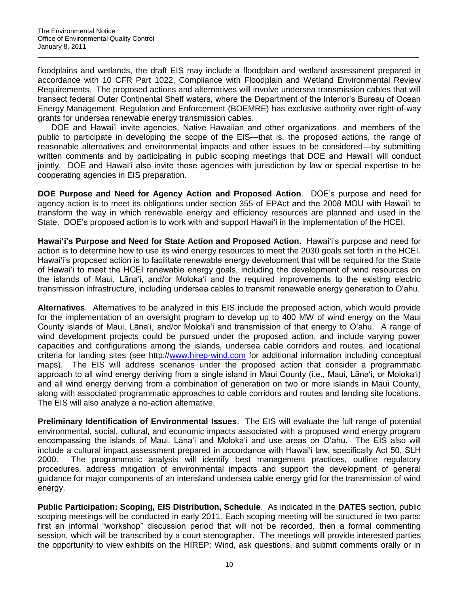floodplains and wetlands, the draft EIS may include a floodplain and wetland assessment prepared in accordance with 10 CFR Part 1022, Compliance with Floodplain and Wetland Environmental Review Requirements. The proposed actions and alternatives will involve undersea transmission cables that will transect federal Outer Continental Shelf waters, where the Department of the Interior's Bureau of Ocean Energy Management, Regulation and Enforcement (BOEMRE) has exclusive authority over right-of-way grants for undersea renewable energy transmission cables.

DOE and Hawai'i invite agencies, Native Hawaiian and other organizations, and members of the public to participate in developing the scope of the EIS—that is, the proposed actions, the range of reasonable alternatives and environmental impacts and other issues to be considered—by submitting written comments and by participating in public scoping meetings that DOE and Hawai'i will conduct jointly. DOE and Hawai'i also invite those agencies with jurisdiction by law or special expertise to be cooperating agencies in EIS preparation.

**DOE Purpose and Need for Agency Action and Proposed Action**. DOE's purpose and need for agency action is to meet its obligations under section 355 of EPAct and the 2008 MOU with Hawai'i to transform the way in which renewable energy and efficiency resources are planned and used in the State. DOE's proposed action is to work with and support Hawai'i in the implementation of the HCEI.

Hawai'i's Purpose and Need for State Action and Proposed Action. Hawai'i's purpose and need for action is to determine how to use its wind energy resources to meet the 2030 goals set forth in the HCEI. Hawai'i's proposed action is to facilitate renewable energy development that will be required for the State of Hawai‗i to meet the HCEI renewable energy goals, including the development of wind resources on the islands of Maui, Lāna‗i, and/or Moloka‗i and the required improvements to the existing electric transmission infrastructure, including undersea cables to transmit renewable energy generation to O'ahu.

**Alternatives**. Alternatives to be analyzed in this EIS include the proposed action, which would provide for the implementation of an oversight program to develop up to 400 MW of wind energy on the Maui County islands of Maui, Lāna‗i, and/or Moloka‗i and transmission of that energy to O‗ahu. A range of wind development projects could be pursued under the proposed action, and include varying power capacities and configurations among the islands, undersea cable corridors and routes, and locational criteria for landing sites (see http:/[/www.hirep-wind.com](http://www.hirep-wind.com/) for additional information including conceptual maps). The EIS will address scenarios under the proposed action that consider a programmatic approach to all wind energy deriving from a single island in Maui County (i.e., Maui, Lāna'i, or Moloka'i) and all wind energy deriving from a combination of generation on two or more islands in Maui County, along with associated programmatic approaches to cable corridors and routes and landing site locations. The EIS will also analyze a no-action alternative.

**Preliminary Identification of Environmental Issues**. The EIS will evaluate the full range of potential environmental, social, cultural, and economic impacts associated with a proposed wind energy program encompassing the islands of Maui, Lāna'i and Moloka'i and use areas on O'ahu. The EIS also will include a cultural impact assessment prepared in accordance with Hawai'i law, specifically Act 50, SLH 2000. The programmatic analysis will identify best management practices, outline regulatory procedures, address mitigation of environmental impacts and support the development of general guidance for major components of an interisland undersea cable energy grid for the transmission of wind energy.

**Public Participation: Scoping, EIS Distribution, Schedule**. As indicated in the **DATES** section, public scoping meetings will be conducted in early 2011. Each scoping meeting will be structured in two parts: first an informal "workshop" discussion period that will not be recorded, then a formal commenting session, which will be transcribed by a court stenographer. The meetings will provide interested parties the opportunity to view exhibits on the HIREP: Wind, ask questions, and submit comments orally or in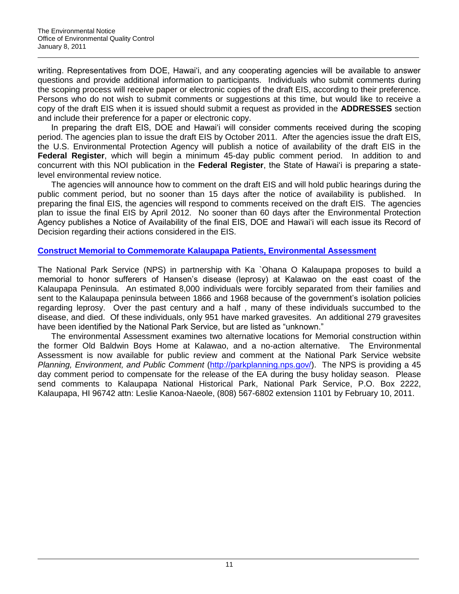writing. Representatives from DOE, Hawai'i, and any cooperating agencies will be available to answer questions and provide additional information to participants. Individuals who submit comments during the scoping process will receive paper or electronic copies of the draft EIS, according to their preference. Persons who do not wish to submit comments or suggestions at this time, but would like to receive a copy of the draft EIS when it is issued should submit a request as provided in the **ADDRESSES** section and include their preference for a paper or electronic copy.

In preparing the draft EIS, DOE and Hawai'i will consider comments received during the scoping period. The agencies plan to issue the draft EIS by October 2011. After the agencies issue the draft EIS, the U.S. Environmental Protection Agency will publish a notice of availability of the draft EIS in the **Federal Register**, which will begin a minimum 45-day public comment period. In addition to and concurrent with this NOI publication in the **Federal Register**, the State of Hawai‗i is preparing a statelevel environmental review notice.

The agencies will announce how to comment on the draft EIS and will hold public hearings during the public comment period, but no sooner than 15 days after the notice of availability is published. In preparing the final EIS, the agencies will respond to comments received on the draft EIS. The agencies plan to issue the final EIS by April 2012. No sooner than 60 days after the Environmental Protection Agency publishes a Notice of Availability of the final EIS, DOE and Hawai'i will each issue its Record of Decision regarding their actions considered in the EIS.

## **Construct Memorial to Commemorate [Kalaupapa Patients, Environmental Assessment](http://parkplanning.nps.gov/)**

The National Park Service (NPS) in partnership with Ka `Ohana O Kalaupapa proposes to build a memorial to honor sufferers of Hansen's disease (leprosy) at Kalawao on the east coast of the Kalaupapa Peninsula. An estimated 8,000 individuals were forcibly separated from their families and sent to the Kalaupapa peninsula between 1866 and 1968 because of the government's isolation policies regarding leprosy. Over the past century and a half , many of these individuals succumbed to the disease, and died. Of these individuals, only 951 have marked gravesites. An additional 279 gravesites have been identified by the National Park Service, but are listed as "unknown."

The environmental Assessment examines two alternative locations for Memorial construction within the former Old Baldwin Boys Home at Kalawao, and a no-action alternative. The Environmental Assessment is now available for public review and comment at the National Park Service website *Planning, Environment, and Public Comment* [\(http://parkplanning.nps.gov/\)](http://parkplanning.nps.gov/). The NPS is providing a 45 day comment period to compensate for the release of the EA during the busy holiday season. Please send comments to Kalaupapa National Historical Park, National Park Service, P.O. Box 2222, Kalaupapa, HI 96742 attn: Leslie Kanoa-Naeole, (808) 567-6802 extension 1101 by February 10, 2011.